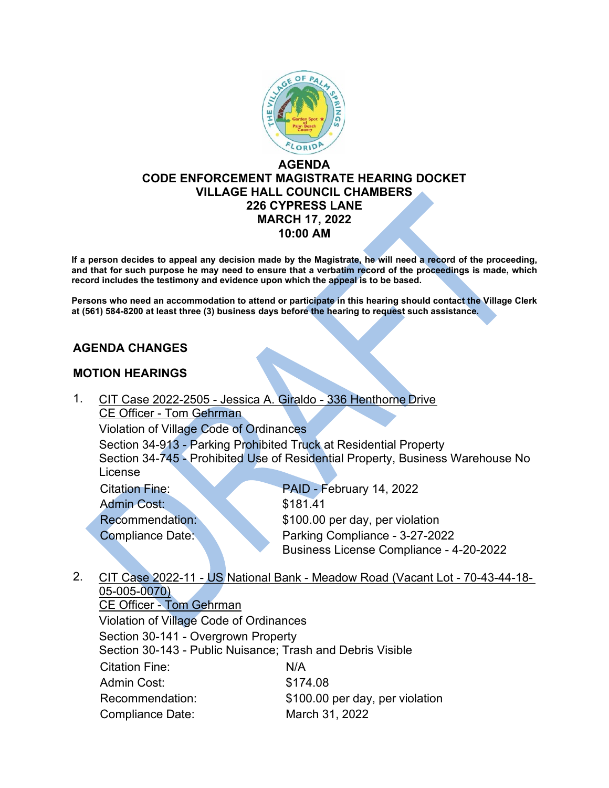

## **AGENDA CODE ENFORCEMENT MAGISTRATE HEARING DOCKET VILLAGE HALL COUNCIL CHAMBERS 226 CYPRESS LANE MARCH 17, 2022 10:00 AM**

**If a person decides to appeal any decision made by the Magistrate, he will need a record of the proceeding, and that for such purpose he may need to ensure that a verbatim record of the proceedings is made, which record includes the testimony and evidence upon which the appeal is to be based.**

**Persons who need an accommodation to attend or participate in this hearing should contact the Village Clerk at (561) 584-8200 at least three (3) business days before the hearing to request such assistance.**

## **AGENDA CHANGES**

## **MOTION HEARINGS**

1. CIT Case 2022-2505 - Jessica A. Giraldo - 336 Henthorne Drive CE Officer - Tom Gehrman Violation of Village Code of Ordinances

Section 34-913 - Parking Prohibited Truck at Residential Property Section 34-745 - Prohibited Use of Residential Property, Business Warehouse No License

Admin Cost: \$181.41

Citation Fine: PAID - February 14, 2022 Recommendation: \$100.00 per day, per violation Compliance Date: Parking Compliance - 3-27-2022 Business License Compliance - 4-20-2022

2. CIT Case 2022-11 - US National Bank - Meadow Road (Vacant Lot - 70-43-44-18- 05-005-0070)

CE Officer - Tom Gehrman Violation of Village Code of Ordinances Section 30-141 - Overgrown Property Section 30-143 - Public Nuisance; Trash and Debris Visible Citation Fine: N/A Admin Cost: \$174.08 Recommendation: \$100.00 per day, per violation Compliance Date: March 31, 2022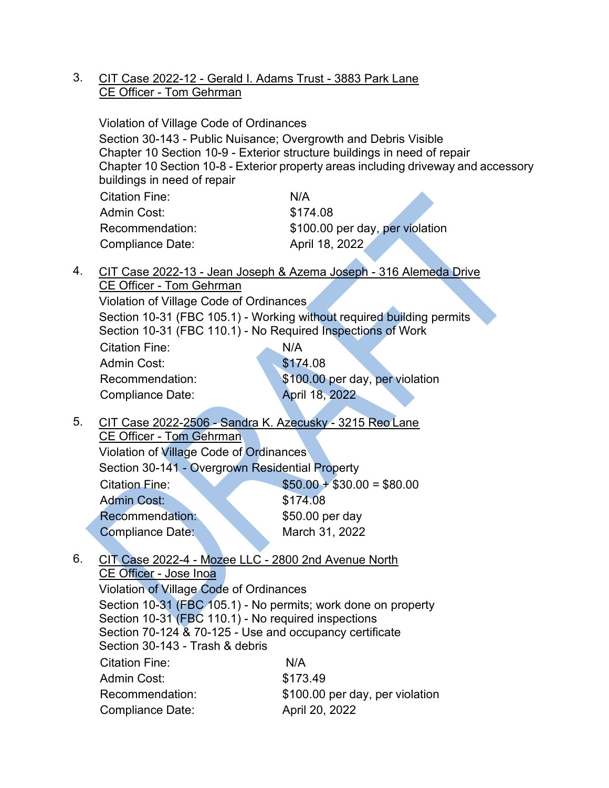3. CIT Case 2022-12 - Gerald I. Adams Trust - 3883 Park Lane CE Officer - Tom Gehrman

|    | Violation of Village Code of Ordinances<br>Section 30-143 - Public Nuisance; Overgrowth and Debris Visible<br>Chapter 10 Section 10-9 - Exterior structure buildings in need of repair<br>Chapter 10 Section 10-8 - Exterior property areas including driveway and accessory<br>buildings in need of repair |                                 |  |
|----|-------------------------------------------------------------------------------------------------------------------------------------------------------------------------------------------------------------------------------------------------------------------------------------------------------------|---------------------------------|--|
|    | <b>Citation Fine:</b>                                                                                                                                                                                                                                                                                       | N/A                             |  |
|    | Admin Cost:                                                                                                                                                                                                                                                                                                 | \$174.08                        |  |
|    | Recommendation:                                                                                                                                                                                                                                                                                             | \$100.00 per day, per violation |  |
|    | <b>Compliance Date:</b>                                                                                                                                                                                                                                                                                     | April 18, 2022                  |  |
| 4. | CIT Case 2022-13 - Jean Joseph & Azema Joseph - 316 Alemeda Drive                                                                                                                                                                                                                                           |                                 |  |
|    | <b>CE Officer - Tom Gehrman</b>                                                                                                                                                                                                                                                                             |                                 |  |
|    | Violation of Village Code of Ordinances                                                                                                                                                                                                                                                                     |                                 |  |
|    | Section 10-31 (FBC 105.1) - Working without required building permits<br>Section 10-31 (FBC 110.1) - No Required Inspections of Work                                                                                                                                                                        |                                 |  |
|    | Citation Fine:                                                                                                                                                                                                                                                                                              | N/A                             |  |
|    | <b>Admin Cost:</b>                                                                                                                                                                                                                                                                                          | \$174.08                        |  |
|    | Recommendation:                                                                                                                                                                                                                                                                                             | \$100.00 per day, per violation |  |
|    | <b>Compliance Date:</b>                                                                                                                                                                                                                                                                                     | April 18, 2022                  |  |
| 5. | CIT Case 2022-2506 - Sandra K. Azecusky - 3215 Reo Lane                                                                                                                                                                                                                                                     |                                 |  |
|    | <b>CE Officer - Tom Gehrman</b>                                                                                                                                                                                                                                                                             |                                 |  |
|    | Violation of Village Code of Ordinances                                                                                                                                                                                                                                                                     |                                 |  |
|    | Section 30-141 - Overgrown Residential Property                                                                                                                                                                                                                                                             |                                 |  |
|    | <b>Citation Fine:</b>                                                                                                                                                                                                                                                                                       | $$50.00 + $30.00 = $80.00$      |  |
|    | <b>Admin Cost:</b>                                                                                                                                                                                                                                                                                          | \$174.08                        |  |
|    | <b>Recommendation:</b>                                                                                                                                                                                                                                                                                      | \$50.00 per day                 |  |
|    | <b>Compliance Date:</b>                                                                                                                                                                                                                                                                                     | March 31, 2022                  |  |

6. CIT Case 2022-4 - Mozee LLC - 2800 2nd Avenue North CE Officer - Jose Inoa Violation of Village Code of Ordinances

Section 10-31 (FBC 105.1) - No permits; work done on property Section 10-31 (FBC 110.1) - No required inspections Section 70-124 & 70-125 - Use and occupancy certificate Section 30-143 - Trash & debris Citation Fine: N/A Admin Cost: \$173.49 Recommendation: \$100.00 per day, per violation Compliance Date: April 20, 2022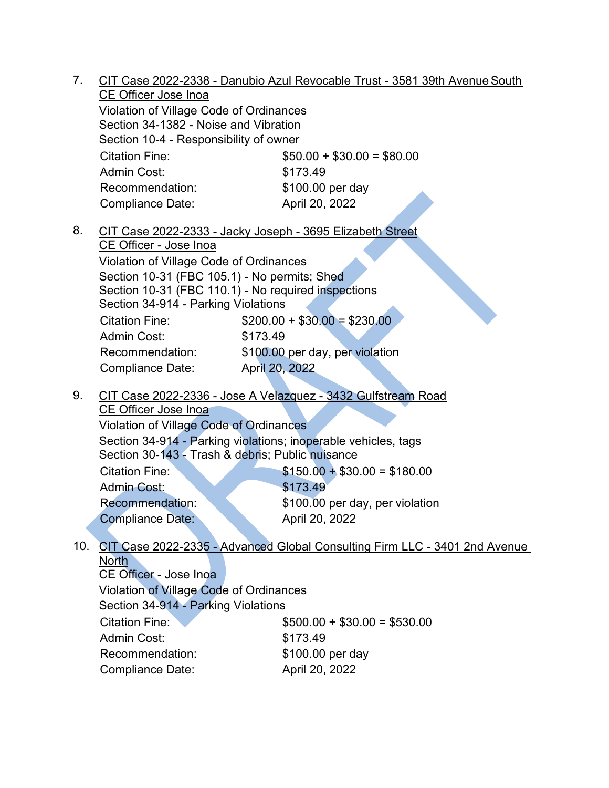7. CIT Case 2022-2338 - Danubio Azul Revocable Trust - 3581 39th AvenueSouth CE Officer Jose Inoa

Violation of Village Code of Ordinances Section 34-1382 - Noise and Vibration Section 10-4 - Responsibility of owner Citation Fine:  $$50.00 + $30.00 = $80.00$ Admin Cost: \$173.49 Recommendation: \$100.00 per day Compliance Date: April 20, 2022

8. CIT Case 2022-2333 - Jacky Joseph - 3695 Elizabeth Street CE Officer - Jose Inoa

Violation of Village Code of Ordinances Section 10-31 (FBC 105.1) - No permits; Shed Section 10-31 (FBC 110.1) - No required inspections Section 34-914 - Parking Violations Citation Fine: \$200.00 + \$30.00 = \$230.00 Admin Cost: \$173.49 Recommendation: \$100.00 per day, per violation

Compliance Date: April 20, 2022

9. CIT Case 2022-2336 - Jose A Velazquez - 3432 Gulfstream Road

CE Officer Jose Inoa Violation of Village Code of Ordinances Section 34-914 - Parking violations; inoperable vehicles, tags Section 30-143 - Trash & debris; Public nuisance Citation Fine:  $$150.00 + $30.00 = $180.00$ 

Admin Cost: \$173.49 Recommendation: \$100.00 per day, per violation Compliance Date: April 20, 2022

#### 10. CIT Case 2022-2335 - Advanced Global Consulting Firm LLC - 3401 2nd Avenue North

CE Officer - Jose Inoa Violation of Village Code of Ordinances Section 34-914 - Parking Violations Citation Fine:  $$500.00 + $30.00 = $530.00$ Admin Cost: \$173.49 Recommendation: \$100.00 per day Compliance Date: April 20, 2022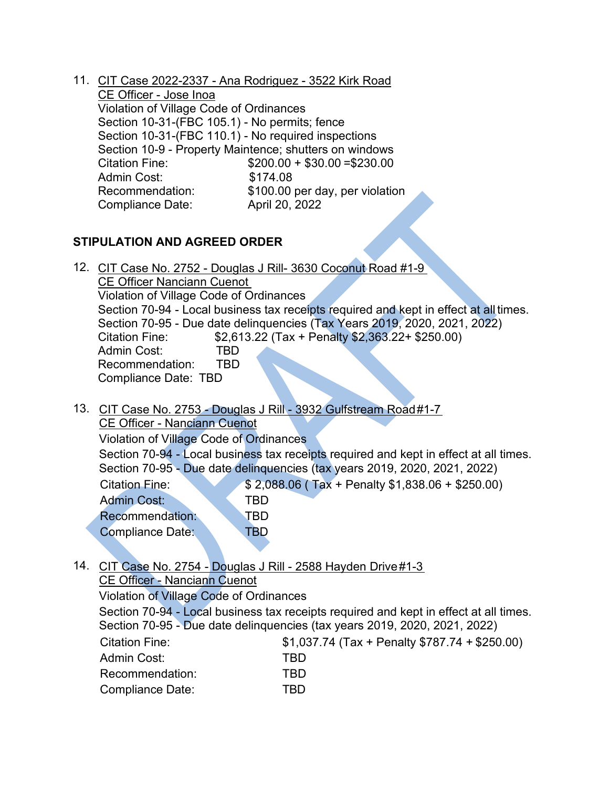11. CIT Case 2022-2337 - Ana Rodriguez - 3522 Kirk Road CE Officer - Jose Inoa Violation of Village Code of Ordinances Section 10-31-(FBC 105.1) - No permits; fence Section 10-31-(FBC 110.1) - No required inspections Section 10-9 - Property Maintence; shutters on windows Citation Fine: \$200.00 + \$30.00 = \$230.00<br>Admin Cost: \$174.08 Admin Cost: Recommendation: \$100.00 per day, per violation Compliance Date: April 20, 2022

# **STIPULATION AND AGREED ORDER**

12. CIT Case No. 2752 - Douglas J Rill- 3630 Coconut Road #1-9

CE Officer Nanciann Cuenot Violation of Village Code of Ordinances Section 70-94 - Local business tax receipts required and kept in effect at all times. Section 70-95 - Due date delinquencies (Tax Years 2019, 2020, 2021, 2022) Citation Fine: \$2,613.22 (Tax + Penalty \$2,363.22+ \$250.00) Admin Cost: TBD Recommendation: TBD Compliance Date: TBD

13. CIT Case No. 2753 - Douglas J Rill - 3932 Gulfstream Road#1-7 CE Officer - Nanciann Cuenot Violation of Village Code of Ordinances Section 70-94 - Local business tax receipts required and kept in effect at all times. Section 70-95 - Due date delinquencies (tax years 2019, 2020, 2021, 2022) Citation Fine: \$ 2,088.06 ( Tax + Penalty \$1,838.06 + \$250.00) Admin Cost: TBD Recommendation: TBD Compliance Date: TBD

14. CIT Case No. 2754 - Douglas J Rill - 2588 Hayden Drive #1-3 CE Officer - Nanciann Cuenot

Violation of Village Code of Ordinances Section 70-94 - Local business tax receipts required and kept in effect at all times. Section 70-95 - Due date delinquencies (tax years 2019, 2020, 2021, 2022) Citation Fine: \$1,037.74 (Tax + Penalty \$787.74 + \$250.00) Admin Cost: TBD Recommendation: TBD Compliance Date: TBD